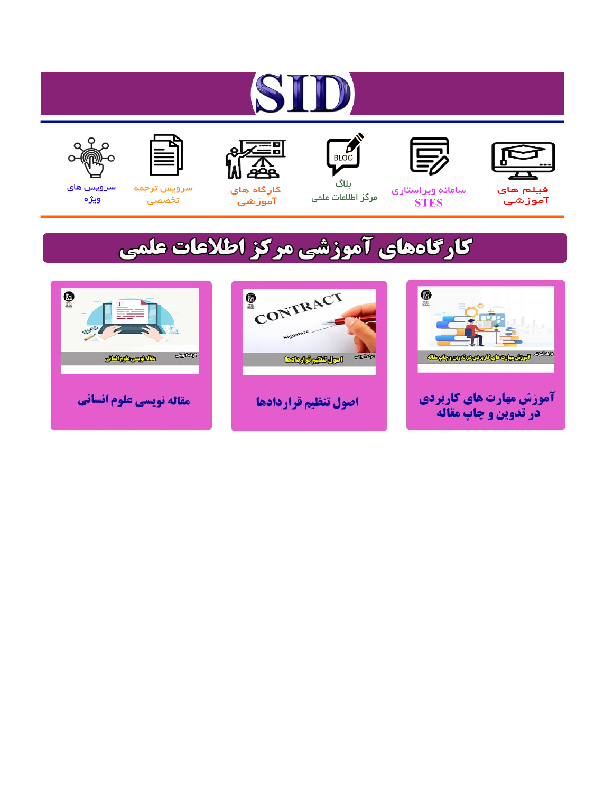# ST











ىلاگ



مرکز اطلاعات علمی

 $\frac{1}{\sqrt{\frac{1}{100}}}$ 

Cologie Legislation

کارگاه های آموزشي

空

ققق

 $\begin{matrix} \textcircled{\footnotesize{A}}\\ \textcircled{\footnotesize{B}} \end{matrix}$ 

سرويس ترجمه تخصصى



سرویس های ويژه

كارگاههای آموزشی مركز اطلاعات علمی

CONTRACT

اصول تنظيم قراردادها



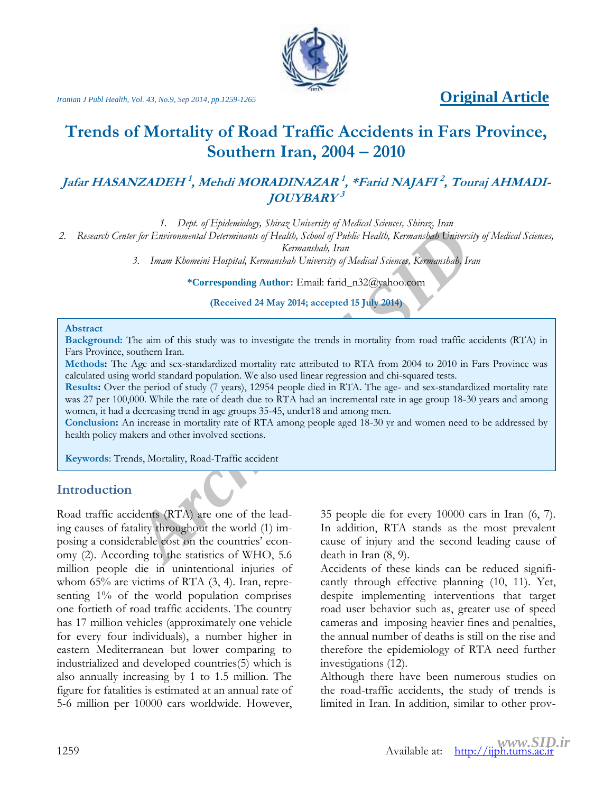

*Iranian J Publ Health, Vol. 43, No.9, Sep* 2014, pp.1259-1265 **Community Contact Contact Article** 

## **Trends of Mortality of Road Traffic Accidents in Fars Province, Southern Iran, 2004 – 2010**

### **Jafar HASANZADEH<sup>1</sup> , Mehdi MORADINAZAR 1 , \*Farid NAJAFI 2 , Touraj AHMADI-JOUYBARY 3**

*1. Dept. of Epidemiology, Shiraz University of Medical Sciences, Shiraz, Iran*

*2. Research Center for Environmental Determinants of Health, School of Public Health, Kermanshah University of Medical Sciences,* 

*Kermanshah, Iran*

*3. Imam Khomeini Hospital, Kermanshah University of Medical Sciences, Kermanshah, Iran*

**\*Corresponding Author:** Email: farid\_n32@yahoo.com

**(Received 24 May 2014; accepted 15 July 2014)**

#### **Abstract**

**Background:** The aim of this study was to investigate the trends in mortality from road traffic accidents (RTA) in Fars Province, southern Iran.

**Methods:** The Age and sex-standardized mortality rate attributed to RTA from 2004 to 2010 in Fars Province was calculated using world standard population. We also used linear regression and chi-squared tests.

*Archimental Determinants of Health, School of Public Health, Kermanshab Universet Content of Health, School of Public Health, Kermanshab, Iran School of Public Health, School of Public Health, Kermanshab, Iran School of P* **Results:** Over the period of study (7 years), 12954 people died in RTA. The age- and sex-standardized mortality rate was 27 per 100,000. While the rate of death due to RTA had an incremental rate in age group 18-30 years and among women, it had a decreasing trend in age groups 35-45, under18 and among men.

**Conclusion:** An increase in mortality rate of RTA among people aged 18-30 yr and women need to be addressed by health policy makers and other involved sections.

**Keywords**: Trends, Mortality, Road-Traffic accident

#### **Introduction**

Road traffic accidents (RTA) are one of the leading causes of fatality throughout the world (1) imposing a considerable cost on the countries' economy (2). According to the statistics of WHO, 5.6 million people die in unintentional injuries of whom 65% are victims of RTA (3, 4). Iran, representing 1% of the world population comprises one fortieth of road traffic accidents. The country has 17 million vehicles (approximately one vehicle for every four individuals), a number higher in eastern Mediterranean but lower comparing to industrialized and developed countries(5) which is also annually increasing by 1 to 1.5 million. The figure for fatalities is estimated at an annual rate of 5-6 million per 10000 cars worldwide. However, 35 people die for every 10000 cars in Iran (6, 7). In addition, RTA stands as the most prevalent cause of injury and the second leading cause of death in Iran (8, 9).

Accidents of these kinds can be reduced significantly through effective planning (10, 11). Yet, despite implementing interventions that target road user behavior such as, greater use of speed cameras and imposing heavier fines and penalties, the annual number of deaths is still on the rise and therefore the epidemiology of RTA need further investigations (12).

Although there have been numerous studies on the road-traffic accidents, the study of trends is limited in Iran. In addition, similar to other prov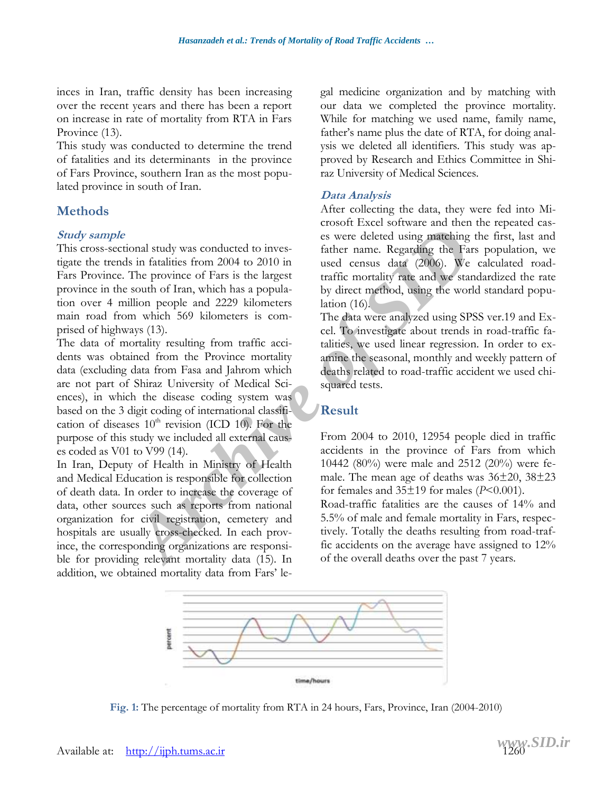inces in Iran, traffic density has been increasing over the recent years and there has been a report on increase in rate of mortality from RTA in Fars Province (13).

This study was conducted to determine the trend of fatalities and its determinants in the province of Fars Province, southern Iran as the most populated province in south of Iran.

#### **Methods**

#### **Study sample**

This cross-sectional study was conducted to investigate the trends in fatalities from 2004 to 2010 in Fars Province. The province of Fars is the largest province in the south of Iran, which has a population over 4 million people and 2229 kilometers main road from which 569 kilometers is comprised of highways (13).

onal study was conducted to investigate the same deleted using *m*atching<br> **Archive of Fars** is the largest<br> **Archive of Fars** is the largest<br> **Archive of Fars** is the largest<br> **Archive of Fars** is the largest<br> **Archive of** The data of mortality resulting from traffic accidents was obtained from the Province mortality data (excluding data from Fasa and Jahrom which are not part of Shiraz University of Medical Sciences), in which the disease coding system was based on the 3 digit coding of international classification of diseases  $10<sup>th</sup>$  revision (ICD 10). For the purpose of this study we included all external causes coded as V01 to V99 (14).

In Iran, Deputy of Health in Ministry of Health and Medical Education is responsible for collection of death data. In order to increase the coverage of data, other sources such as reports from national organization for civil registration, cemetery and hospitals are usually cross-checked. In each province, the corresponding organizations are responsible for providing relevant mortality data (15). In addition, we obtained mortality data from Fars' legal medicine organization and by matching with our data we completed the province mortality. While for matching we used name, family name, father's name plus the date of RTA, for doing analysis we deleted all identifiers. This study was approved by Research and Ethics Committee in Shiraz University of Medical Sciences.

#### **Data Analysis**

After collecting the data, they were fed into Microsoft Excel software and then the repeated cases were deleted using matching the first, last and father name. Regarding the Fars population, we used census data (2006). We calculated roadtraffic mortality rate and we standardized the rate by direct method, using the world standard population (16).

The data were analyzed using SPSS ver.19 and Excel. To investigate about trends in road-traffic fatalities, we used linear regression. In order to examine the seasonal, monthly and weekly pattern of deaths related to road-traffic accident we used chisquared tests.

#### **Result**

From 2004 to 2010, 12954 people died in traffic accidents in the province of Fars from which 10442 (80%) were male and 2512 (20%) were female. The mean age of deaths was 36±20, 38±23 for females and  $35\pm19$  for males ( $P<0.001$ ).

Road-traffic fatalities are the causes of 14% and 5.5% of male and female mortality in Fars, respectively. Totally the deaths resulting from road-traffic accidents on the average have assigned to 12% of the overall deaths over the past 7 years.



**Fig. 1:** The percentage of mortality from RTA in 24 hours, Fars, Province, Iran (2004-2010)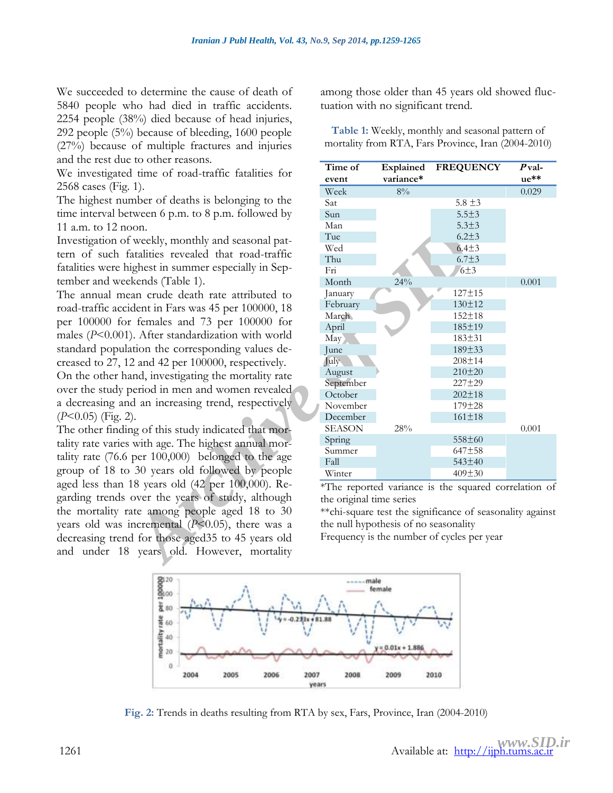We succeeded to determine the cause of death of 5840 people who had died in traffic accidents. 2254 people (38%) died because of head injuries, 292 people (5%) because of bleeding, 1600 people (27%) because of multiple fractures and injuries and the rest due to other reasons.

We investigated time of road-traffic fatalities for 2568 cases (Fig. 1).

The highest number of deaths is belonging to the time interval between 6 p.m. to 8 p.m. followed by 11 a.m. to 12 noon.

Investigation of weekly, monthly and seasonal pattern of such fatalities revealed that road-traffic fatalities were highest in summer especially in September and weekends (Table 1).

The annual mean crude death rate attributed to road-traffic accident in Fars was 45 per 100000, 18 per 100000 for females and 73 per 100000 for males (*P*<0.001). After standardization with world standard population the corresponding values decreased to 27, 12 and 42 per 100000, respectively.

On the other hand, investigating the mortality rate over the study period in men and women revealed a decreasing and an increasing trend, respectively (*P*<0.05) (Fig. 2).

The other finding of this study indicated that mortality rate varies with age. The highest annual mortality rate (76.6 per 100,000) belonged to the age group of 18 to 30 years old followed by people aged less than 18 years old (42 per 100,000). Regarding trends over the years of study, although the mortality rate among people aged 18 to 30 years old was incremental (*P*<0.05), there was a decreasing trend for those aged35 to 45 years old and under 18 years old. However, mortality

among those older than 45 years old showed fluctuation with no significant trend.

| e to otner reasons.                   |                                                            |                        |                                                      |                  |
|---------------------------------------|------------------------------------------------------------|------------------------|------------------------------------------------------|------------------|
| d time of road-traffic fatalities for | Time of<br>event                                           | Explained<br>variance* | <b>FREQUENCY</b>                                     | $P$ val-<br>ue** |
| (1).                                  | Week                                                       | $8\%$                  |                                                      | 0.029            |
| mber of deaths is belonging to the    | Sat                                                        |                        | $5.8 \pm 3$                                          |                  |
| tween 6 p.m. to 8 p.m. followed by    | Sun                                                        |                        | $5.5 + 3$                                            |                  |
| oon.                                  | Man                                                        |                        | $5.3 + 3$                                            |                  |
| weekly, monthly and seasonal pat-     | Tue                                                        |                        | $6.2 + 3$                                            |                  |
| atalities revealed that road-traffic  | Wed                                                        |                        | $6.4 \pm 3$                                          |                  |
|                                       | Thu                                                        |                        | $6.7 + 3$                                            |                  |
| ighest in summer especially in Sep-   | Fri                                                        |                        | 6±3                                                  |                  |
| ekends (Table 1).                     | Month                                                      | 24%                    |                                                      | 0.001            |
| ean crude death rate attributed to    | January                                                    |                        | $127 + 15$<br>130±12                                 |                  |
| ident in Fars was 45 per 100000, 18   | February<br>March                                          |                        | $152 + 18$                                           |                  |
| r females and 73 per 100000 for       | April                                                      |                        | 185±19                                               |                  |
| ). After standardization with world   | May)                                                       |                        | $183 + 31$                                           |                  |
| ation the corresponding values de-    | June                                                       |                        | 189±33                                               |                  |
| 2 and 42 per 100000, respectively.    | July                                                       |                        | $208 + 14$                                           |                  |
| and, investigating the mortality rate | August                                                     |                        | 210±20                                               |                  |
| period in men and women revealed.     | September                                                  |                        | 227±29                                               |                  |
| d an increasing trend, respectively   | October                                                    |                        | $202 \pm 18$                                         |                  |
|                                       | November                                                   |                        | $179 + 28$                                           |                  |
|                                       | December                                                   |                        | $161 \pm 18$                                         |                  |
| ng of this study indicated that mor-  | <b>SEASON</b>                                              | 28%                    | 558±60                                               | 0.001            |
| with age. The highest annual mor-     | Spring<br>Summer                                           |                        | 647±58                                               |                  |
| per 100,000) belonged to the age      | Fall                                                       |                        | 543±40                                               |                  |
| 30 years old followed by people       | Winter                                                     |                        | $409 \pm 30$                                         |                  |
| 18 years old (42 per 100,000). Re-    |                                                            |                        | *The reported variance is the squared correlation of |                  |
| over the years of study, although     | the original time series                                   |                        |                                                      |                  |
| ate among people aged 18 to 30        | ** chi-square test the significance of seasonality against |                        |                                                      |                  |
| incremental $(P<0.05)$ , there was a  | the null hypothesis of no seasonality                      |                        |                                                      |                  |
| d for those aged 35 to 45 years old   | Frequency is the number of cycles per year                 |                        |                                                      |                  |
|                                       |                                                            |                        |                                                      |                  |
| years old. However, mortality         |                                                            |                        |                                                      |                  |
|                                       |                                                            |                        |                                                      |                  |

**Table 1:** Weekly, monthly and seasonal pattern of mortality from RTA, Fars Province, Iran (2004-2010)



**Fig. 2:** Trends in deaths resulting from RTA by sex, Fars, Province, Iran (2004-2010)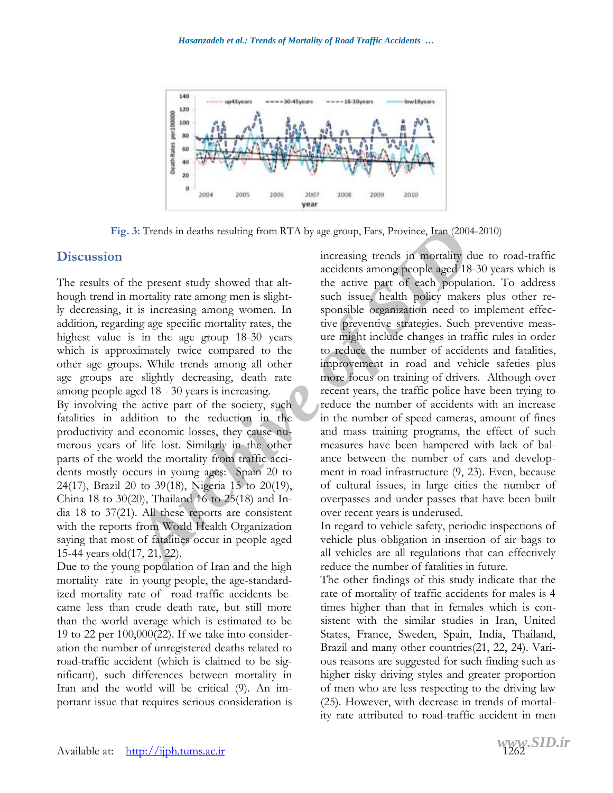

**Fig. 3:** Trends in deaths resulting from RTA by age group, Fars, Province, Iran (2004-2010)

#### **Discussion**

The results of the present study showed that although trend in mortality rate among men is slightly decreasing, it is increasing among women. In addition, regarding age specific mortality rates, the highest value is in the age group 18-30 years which is approximately twice compared to the other age groups. While trends among all other age groups are slightly decreasing, death rate among people aged 18 - 30 years is increasing.

By involving the active part of the society, such fatalities in addition to the reduction in the productivity and economic losses, they cause numerous years of life lost. Similarly in the other parts of the world the mortality from traffic accidents mostly occurs in young ages: Spain 20 to 24(17), Brazil 20 to 39(18), Nigeria 15 to 20(19), China 18 to 30(20), Thailand 16 to 25(18) and India 18 to 37(21). All these reports are consistent with the reports from World Health Organization saying that most of fatalities occur in people aged 15-44 years old(17, 21, 22).

Due to the young population of Iran and the high mortality rate in young people, the age-standardized mortality rate of road-traffic accidents became less than crude death rate, but still more than the world average which is estimated to be 19 to 22 per 100,000(22). If we take into consideration the number of unregistered deaths related to road-traffic accident (which is claimed to be significant), such differences between mortality in Iran and the world will be critical (9). An important issue that requires serious consideration is

3: Trends in deaths resulting from RTA by age group, Fars, Province, Iran (2006)<br>
increasing trends in mortality decidents among people aged 18<br>
mortality rate among men is slight-<br>
mortality rate among men is slight-<br>
int increasing trends in mortality due to road-traffic accidents among people aged 18-30 years which is the active part of each population. To address such issue, health policy makers plus other responsible organization need to implement effective preventive strategies. Such preventive measure might include changes in traffic rules in order to reduce the number of accidents and fatalities, improvement in road and vehicle safeties plus more focus on training of drivers. Although over recent years, the traffic police have been trying to reduce the number of accidents with an increase in the number of speed cameras, amount of fines and mass training programs, the effect of such measures have been hampered with lack of balance between the number of cars and development in road infrastructure (9, 23). Even, because of cultural issues, in large cities the number of overpasses and under passes that have been built over recent years is underused.

In regard to vehicle safety, periodic inspections of vehicle plus obligation in insertion of air bags to all vehicles are all regulations that can effectively reduce the number of fatalities in future.

The other findings of this study indicate that the rate of mortality of traffic accidents for males is 4 times higher than that in females which is consistent with the similar studies in Iran, United States, France, Sweden, Spain, India, Thailand, Brazil and many other countries(21, 22, 24). Various reasons are suggested for such finding such as higher risky driving styles and greater proportion of men who are less respecting to the driving law (25). However, with decrease in trends of mortality rate attributed to road-traffic accident in men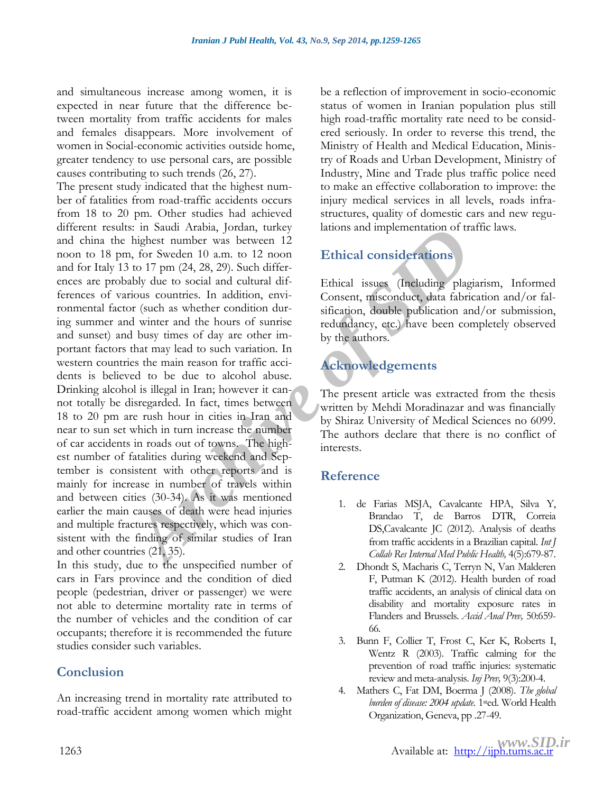and simultaneous increase among women, it is expected in near future that the difference between mortality from traffic accidents for males and females disappears. More involvement of women in Social-economic activities outside home, greater tendency to use personal cars, are possible causes contributing to such trends (26, 27).

**Araba Araba, Jonda Archive (and Archive Consideration** of the base of the set of the set of the set of 17 pm (24, 28, 29). Such differ-<br> *Archive to social and cultural dif-*<br> *Archive to social and cultural dif-*<br> *Arch* The present study indicated that the highest number of fatalities from road-traffic accidents occurs from 18 to 20 pm. Other studies had achieved different results: in Saudi Arabia, Jordan, turkey and china the highest number was between 12 noon to 18 pm, for Sweden 10 a.m. to 12 noon and for Italy 13 to 17 pm (24, 28, 29). Such differences are probably due to social and cultural differences of various countries. In addition, environmental factor (such as whether condition during summer and winter and the hours of sunrise and sunset) and busy times of day are other important factors that may lead to such variation. In western countries the main reason for traffic accidents is believed to be due to alcohol abuse. Drinking alcohol is illegal in Iran; however it cannot totally be disregarded. In fact, times between 18 to 20 pm are rush hour in cities in Iran and near to sun set which in turn increase the number of car accidents in roads out of towns. The highest number of fatalities during weekend and September is consistent with other reports and is mainly for increase in number of travels within and between cities (30-34). As it was mentioned earlier the main causes of death were head injuries and multiple fractures respectively, which was consistent with the finding of similar studies of Iran and other countries (21, 35).

In this study, due to the unspecified number of cars in Fars province and the condition of died people (pedestrian, driver or passenger) we were not able to determine mortality rate in terms of the number of vehicles and the condition of car occupants; therefore it is recommended the future studies consider such variables.

#### **Conclusion**

An increasing trend in mortality rate attributed to road-traffic accident among women which might be a reflection of improvement in socio-economic status of women in Iranian population plus still high road-traffic mortality rate need to be considered seriously. In order to reverse this trend, the Ministry of Health and Medical Education, Ministry of Roads and Urban Development, Ministry of Industry, Mine and Trade plus traffic police need to make an effective collaboration to improve: the injury medical services in all levels, roads infrastructures, quality of domestic cars and new regulations and implementation of traffic laws.

### **Ethical considerations**

Ethical issues (Including plagiarism, Informed Consent, misconduct, data fabrication and/or falsification, double publication and/or submission, redundancy, etc.) have been completely observed by the authors.

## **Acknowledgements**

The present article was extracted from the thesis written by Mehdi Moradinazar and was financially by Shiraz University of Medical Sciences no 6099. The authors declare that there is no conflict of interests.

#### **Reference**

- 1. de Farias MSJA, Cavalcante HPA, Silva Y, Brandao T, de Barros DTR, Correia DS,Cavalcante JC (2012). Analysis of deaths from traffic accidents in a Brazilian capital. *Int J Collab Res Internal Med Public Health,* 4(5):679-87.
- 2. Dhondt S, Macharis C, Terryn N, Van Malderen F, Putman K (2012). Health burden of road traffic accidents, an analysis of clinical data on disability and mortality exposure rates in Flanders and Brussels. *[Accid Anal Prev,](http://www.ncbi.nlm.nih.gov/pubmed/22771286)* 50:659- 66.
- 3. Bunn F, Collier T, Frost C, Ker K, Roberts I, Wentz R (2003). Traffic calming for the prevention of road traffic injuries: systematic review and meta-analysis. *Inj Prev,* 9(3):200-4.
- 4. Mathers C, Fat DM, Boerma J (2008). *The global burden of disease: 2004 update*. 1sted. World Health Organization, Geneva, pp .27-49.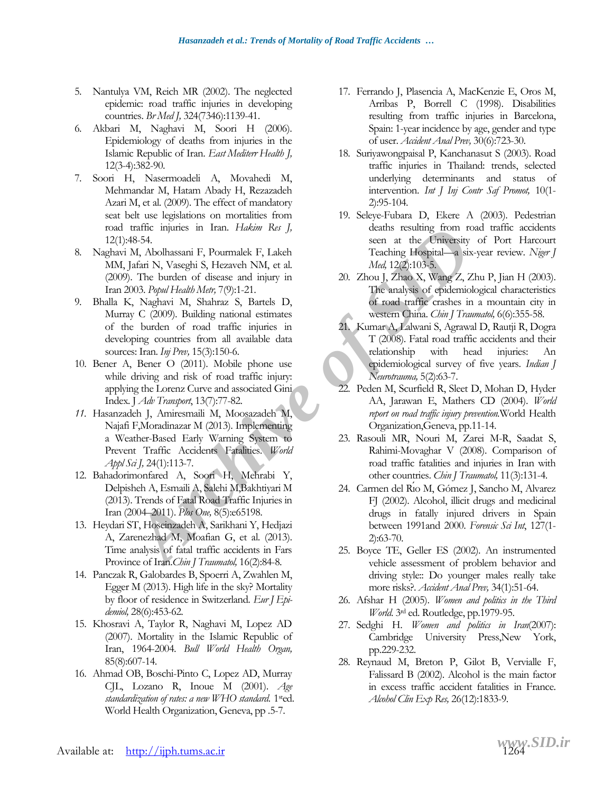- 5. Nantulya VM, Reich MR (2002). The neglected epidemic: road traffic injuries in developing countries. *Br Med J,* 324(7346):1139-41.
- 6. Akbari M, Naghavi M, Soori H (2006). Epidemiology of deaths from injuries in the Islamic Republic of Iran. *East Mediterr Health J,* 12(3-4):382-90.
- 7. Soori H, Nasermoadeli A, Movahedi M, Mehmandar M, Hatam Abady H, Rezazadeh Azari M, et al. (2009). The effect of mandatory seat belt use legislations on mortalities from road traffic injuries in Iran. *Hakim Res J,* 12(1):48-54.
- 8. Naghavi M, Abolhassani F, Pourmalek F, Lakeh MM, Jafari N, Vaseghi S, Hezaveh NM, et al. (2009). The burden of disease and injury in Iran 2003. *Popul Health Metr,* 7(9):1-21.
- Faritree intensity and Faritree in the University of the same in the University M, [A](http://www.ncbi.nlm.nih.gov/pubmed/23540895)bolhassani F, Pourmalek F, Lakeh sear at the University M, Abolhassani F, Pourmalek F, Lakeh Steady C, 2009). Paul Health Men, 1. The burd 9. Bhalla K, Naghavi M, Shahraz S, Bartels D, Murray C (2009). Building national estimates of the burden of road traffic injuries in developing countries from all available data sources: Iran. *Inj Prev,* 15(3):150-6.
- 10. Bener A, Bener O (2011). Mobile phone use while driving and risk of road traffic injury: applying the Lorenz Curve and associated Gini Index*.* J *Adv Transport*, 13(7):77-82.
- *11.* Hasanzadeh J, Amiresmaili M, Moosazadeh M, Najafi F,Moradinazar M (2013). Implementing a Weather-Based Early Warning System to Prevent Traffic Accidents Fatalities. *World Appl Sci J,* 24(1):113-7.
- 12. Bahadorimonfared A, Soori H, Mehrabi Y, Delpisheh A, Esmaili A, Salehi M,Bakhtiyari M (2013). Trends of Fatal Road Traffic Injuries in Iran (2004–2011). *Plos One,* 8(5):e65198.
- 13. Heydari ST, Hoseinzadeh A, Sarikhani Y, Hedjazi A, Zarenezhad M, Moafian G, et al. (2013). Time analysis of fatal traffic accidents in Fars Province of Iran.*Chin J Traumatol,* 16(2):84-8.
- 14. Panczak R, Galobardes B, Spoerri A, Zwahlen M, Egger M (2013). High life in the sky? Mortality by floor of residence in Switzerland. *Eur J Epidemiol,* 28(6):453-62.
- 15. Khosravi A, Taylor R, Naghavi M, Lopez AD (2007). Mortality in the Islamic Republic of Iran, 1964-2004. *Bull World Health Organ,* 85(8):607-14.
- 16. Ahmad OB, Boschi-Pinto C, Lopez AD, Murray CJL, Lozano R, Inoue M (2001). *Age standardization of rates: a new WHO standard*. 1sted. World Health Organization, Geneva, pp .5-7.
- 17. Ferrando J, Plasencia A, MacKenzie E, Oros M, Arribas P, Borrell C (1998). Disabilities resulting from traffic injuries in Barcelona, Spain: 1-year incidence by age, gender and type of user. *Accident Anal Prev,* 30(6):723-30.
- 18. Suriyawongpaisal P, Kanchanasut S (2003). Road traffic injuries in Thailand: trends, selected underlying determinants and status of intervention. *Int J Inj Contr Saf Promot,* 10(1- 2):95-104.
- 19. Seleye-Fubara D, Ekere A (2003). Pedestrian deaths resulting from road traffic accidents seen at the University of Port Harcourt Teaching Hospital—a six-year review. *Niger J Med,* 12(2):103-5.
- 20. Zhou J, Zhao X, Wang Z, Zhu P, Jian H (2003). The analysis of epidemiological characteristics of road traffic crashes in a mountain city in western China. *Chin J Traumatol,* 6(6):355-58.
- 21. Kumar A, Lalwani S, Agrawal D, Rautji R, Dogra T (2008). Fatal road traffic accidents and their relationship with head injuries: An epidemiological survey of five years. *Indian J Neurotrauma,* 5(2):63-7.
- 22. Peden M, Scurfield R, Sleet D, Mohan D, Hyder AA, Jarawan E, Mathers CD (2004). *World report on road traffic injury prevention.*World Health Organization,Geneva, pp.11-14.
- 23. Rasouli MR, Nouri M, Zarei M-R, Saadat S, Rahimi-Movaghar V (2008). Comparison of road traffic fatalities and injuries in Iran with other countries. *Chin J Traumatol,* 11(3):131-4.
- 24. Carmen del Río M, Gómez J, Sancho M, Alvarez FJ (2002). Alcohol, illicit drugs and medicinal drugs in fatally injured drivers in Spain between 1991and 2000. *Forensic Sci Int*, 127(1- 2):63-70.
- 25. Boyce TE, Geller ES (2002). An instrumented vehicle assessment of problem behavior and driving style:: Do younger males really take more risks?. *Accident Anal Prev,* 34(1):51-64.
- 26. Afshar H (2005). *Women and politics in the Third World*. 3<sup>rd</sup> ed. Routledge, pp.1979-95.
- 27. Sedghi H. *Women and politics in Iran*(2007): Cambridge University Press,New York, pp.229-232.
- 28. Reynaud M, Breton P, Gilot B, Vervialle F, Falissard B (2002). Alcohol is the main factor in excess traffic accident fatalities in France. *Alcohol Clin Exp Res,* 26(12):1833-9.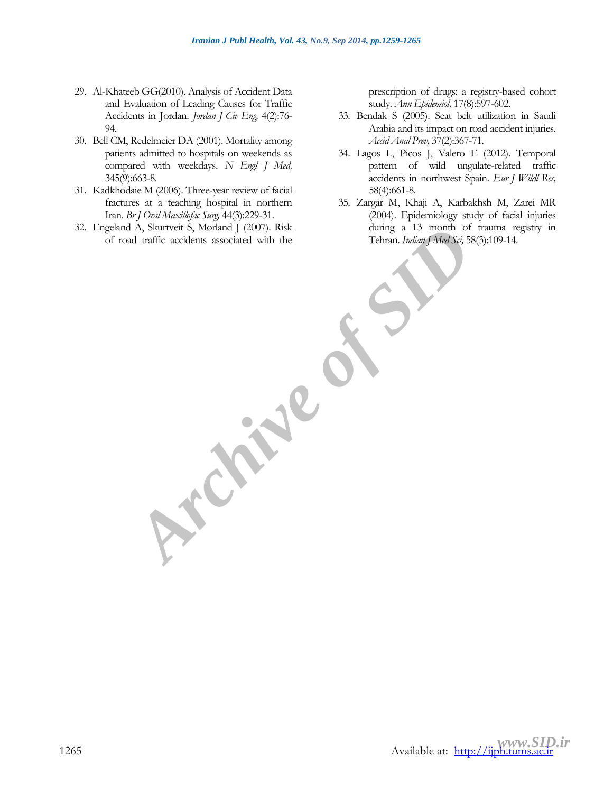- 29. Al-Khateeb GG(2010). Analysis of Accident Data and Evaluation of Leading Causes for Traffic Accidents in Jordan. *Jordan J Civ Eng,* 4(2):76- 94.
- 30. Bell CM, Redelmeier DA (2001). Mortality among patients admitted to hospitals on weekends as compared with weekdays. *N Engl J Med,* 345(9):663-8.
- 31. Kadkhodaie M (2006). Three-year review of facial fractures at a teaching hospital in northern Iran. *Br J Oral Maxillofac Surg,* 44(3):229-31.
- 32. Engeland A, Skurtveit S, Mørland J (2007). Risk of road traffic accidents associated with the

**Archive of SI** 

prescription of drugs: a registry-based cohort study. *Ann Epidemiol,* 17(8):597-602.

- 33. Bendak S (2005). Seat belt utilization in Saudi Arabia and its impact on road accident injuries. *Accid Anal Prev,* 37(2):367-71.
- 34. Lagos L, Picos J, Valero E (2012). Temporal pattern of wild ungulate-related traffic accidents in northwest Spain. *Eur J Wildl Res,* 58(4):661-8.
- 35. Zargar M, Khaji A, Karbakhsh M, Zarei MR (2004). Epidemiology study of facial injuries during a 13 month of trauma registry in Tehran. *Indian J Med Sci,* 58(3):109-14.

<www.SID.ir><br>Available at: <u>[http://ijph.tums.ac.ir](http://ijph.tums.ac.ir/)</u>